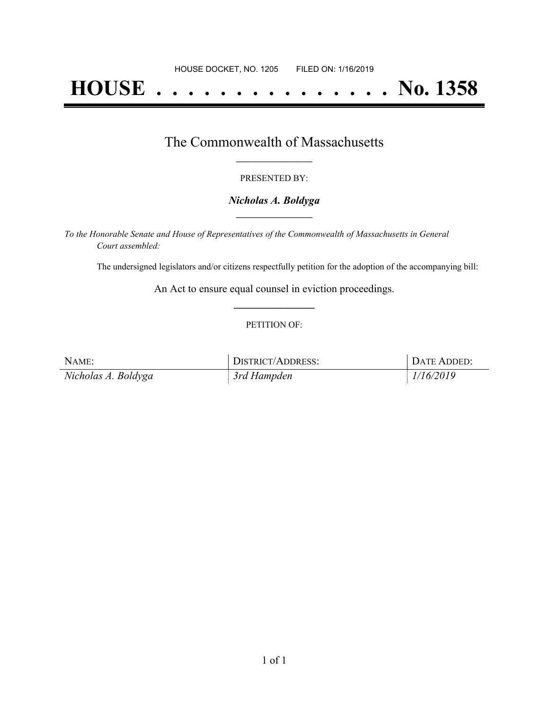# **HOUSE . . . . . . . . . . . . . . . No. 1358**

### The Commonwealth of Massachusetts **\_\_\_\_\_\_\_\_\_\_\_\_\_\_\_\_\_**

#### PRESENTED BY:

#### *Nicholas A. Boldyga* **\_\_\_\_\_\_\_\_\_\_\_\_\_\_\_\_\_**

*To the Honorable Senate and House of Representatives of the Commonwealth of Massachusetts in General Court assembled:*

The undersigned legislators and/or citizens respectfully petition for the adoption of the accompanying bill:

An Act to ensure equal counsel in eviction proceedings. **\_\_\_\_\_\_\_\_\_\_\_\_\_\_\_**

#### PETITION OF:

| NAME:               | DISTRICT/ADDRESS: | DATE ADDED: |
|---------------------|-------------------|-------------|
| Nicholas A. Boldyga | 3rd Hampden       | 1/16/2019   |